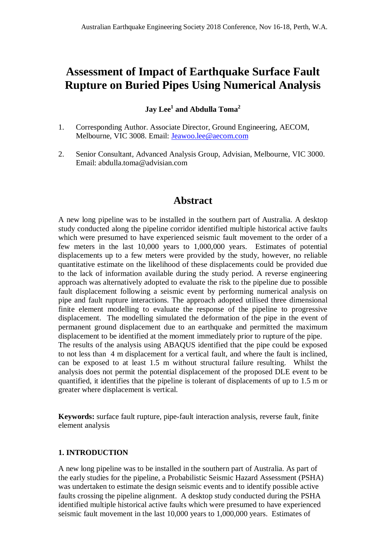# **Assessment of Impact of Earthquake Surface Fault Rupture on Buried Pipes Using Numerical Analysis**

### **Jay Lee<sup>1</sup> and Abdulla Toma<sup>2</sup>**

- 1. Corresponding Author. Associate Director, Ground Engineering, AECOM, Melbourne, VIC 3008. Email: Jeawoo.lee@aecom.com
- 2. Senior Consultant, Advanced Analysis Group, Advisian, Melbourne, VIC 3000. Email: abdulla.toma@advisian.com

## **Abstract**

A new long pipeline was to be installed in the southern part of Australia. A desktop study conducted along the pipeline corridor identified multiple historical active faults which were presumed to have experienced seismic fault movement to the order of a few meters in the last 10,000 years to 1,000,000 years. Estimates of potential displacements up to a few meters were provided by the study, however, no reliable quantitative estimate on the likelihood of these displacements could be provided due to the lack of information available during the study period. A reverse engineering approach was alternatively adopted to evaluate the risk to the pipeline due to possible fault displacement following a seismic event by performing numerical analysis on pipe and fault rupture interactions. The approach adopted utilised three dimensional finite element modelling to evaluate the response of the pipeline to progressive displacement. The modelling simulated the deformation of the pipe in the event of permanent ground displacement due to an earthquake and permitted the maximum displacement to be identified at the moment immediately prior to rupture of the pipe. The results of the analysis using ABAQUS identified that the pipe could be exposed to not less than 4 m displacement for a vertical fault, and where the fault is inclined, can be exposed to at least 1.5 m without structural failure resulting. Whilst the analysis does not permit the potential displacement of the proposed DLE event to be quantified, it identifies that the pipeline is tolerant of displacements of up to 1.5 m or greater where displacement is vertical.

**Keywords:** surface fault rupture, pipe-fault interaction analysis, reverse fault, finite element analysis

#### **1. INTRODUCTION**

A new long pipeline was to be installed in the southern part of Australia. As part of the early studies for the pipeline, a Probabilistic Seismic Hazard Assessment (PSHA) was undertaken to estimate the design seismic events and to identify possible active faults crossing the pipeline alignment. A desktop study conducted during the PSHA identified multiple historical active faults which were presumed to have experienced seismic fault movement in the last 10,000 years to 1,000,000 years. Estimates of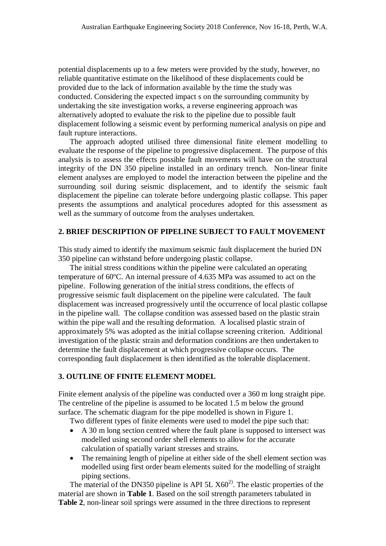potential displacements up to a few meters were provided by the study, however, no reliable quantitative estimate on the likelihood of these displacements could be provided due to the lack of information available by the time the study was conducted. Considering the expected impact s on the surrounding community by undertaking the site investigation works, a reverse engineering approach was alternatively adopted to evaluate the risk to the pipeline due to possible fault displacement following a seismic event by performing numerical analysis on pipe and fault rupture interactions.

The approach adopted utilised three dimensional finite element modelling to evaluate the response of the pipeline to progressive displacement. The purpose of this analysis is to assess the effects possible fault movements will have on the structural integrity of the DN 350 pipeline installed in an ordinary trench. Non-linear finite element analyses are employed to model the interaction between the pipeline and the surrounding soil during seismic displacement, and to identify the seismic fault displacement the pipeline can tolerate before undergoing plastic collapse. This paper presents the assumptions and analytical procedures adopted for this assessment as well as the summary of outcome from the analyses undertaken.

#### **2. BRIEF DESCRIPTION OF PIPELINE SUBJECT TO FAULT MOVEMENT**

This study aimed to identify the maximum seismic fault displacement the buried DN 350 pipeline can withstand before undergoing plastic collapse.

The initial stress conditions within the pipeline were calculated an operating temperature of 60ºC. An internal pressure of 4.635 MPa was assumed to act on the pipeline. Following generation of the initial stress conditions, the effects of progressive seismic fault displacement on the pipeline were calculated. The fault displacement was increased progressively until the occurrence of local plastic collapse in the pipeline wall. The collapse condition was assessed based on the plastic strain within the pipe wall and the resulting deformation. A localised plastic strain of approximately 5% was adopted as the initial collapse screening criterion. Additional investigation of the plastic strain and deformation conditions are then undertaken to determine the fault displacement at which progressive collapse occurs. The corresponding fault displacement is then identified as the tolerable displacement.

#### **3. OUTLINE OF FINITE ELEMENT MODEL**

Finite element analysis of the pipeline was conducted over a 360 m long straight pipe. The centreline of the pipeline is assumed to be located 1.5 m below the ground surface. The schematic diagram for the pipe modelled is shown in Figure 1.

Two different types of finite elements were used to model the pipe such that:

- A 30 m long section centred where the fault plane is supposed to intersect was modelled using second order shell elements to allow for the accurate calculation of spatially variant stresses and strains.
- The remaining length of pipeline at either side of the shell element section was modelled using first order beam elements suited for the modelling of straight piping sections.

The material of the DN350 pipeline is API 5L  $X60<sup>2</sup>$ . The elastic properties of the material are shown in **Table 1**. Based on the soil strength parameters tabulated in **Table 2**, non-linear soil springs were assumed in the three directions to represent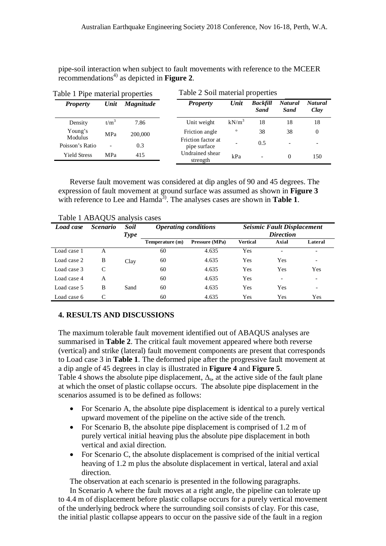pipe-soil interaction when subject to fault movements with reference to the MCEER  $r_{\rm recommendations<sup>4</sup>}$  as depicted in **Figure 2**.

| Table 1 Pipe material properties |                          |                  | Table 2 Soil material properties   |              |                                |                               |                        |  |
|----------------------------------|--------------------------|------------------|------------------------------------|--------------|--------------------------------|-------------------------------|------------------------|--|
| <b>Property</b>                  | Unit                     | <b>Magnitude</b> | <b>Property</b>                    | Unit         | <b>Backfill</b><br><b>Sand</b> | <b>Natural</b><br><b>Sand</b> | <b>Natural</b><br>Clay |  |
| Density                          | $t/m^3$                  | 7.86             | Unit weight                        | $kN/m^3$     | 18                             | 18                            | 18                     |  |
| Young's                          | MPa                      | 200,000          | Friction angle                     | $\mathbf{o}$ | 38                             | 38                            | $\Omega$               |  |
| Modulus<br>Poisson's Ratio       | $\overline{\phantom{0}}$ | 0.3              | Friction factor at<br>pipe surface |              | 0.5                            | $\overline{\phantom{0}}$      |                        |  |
| <b>Yield Stress</b>              | MPa                      | 415              | Undrained shear<br>strength        | kPa          | $\overline{\phantom{0}}$       | $\Omega$                      | 150                    |  |

Reverse fault movement was considered at dip angles of 90 and 45 degrees. The expression of fault movement at ground surface was assumed as shown in **Figure 3** with reference to Lee and Hamda<sup>3</sup>. The analyses cases are shown in **Table 1**.

| <b>Load case</b> | <i>Scenario</i> | <b>Soil</b><br><b>Type</b> | <b>Operating conditions</b> |                | <b>Seismic Fault Displacement</b><br><b>Direction</b> |       |                          |  |
|------------------|-----------------|----------------------------|-----------------------------|----------------|-------------------------------------------------------|-------|--------------------------|--|
|                  |                 |                            | Temperature (m)             | Pressure (MPa) | <b>Vertical</b>                                       | Axial | Lateral                  |  |
| Load case 1      | A               |                            | 60                          | 4.635          | Yes                                                   |       | $\overline{\phantom{0}}$ |  |
| Load case 2      | B               | Clay                       | 60                          | 4.635          | Yes                                                   | Yes   | $\overline{\phantom{0}}$ |  |
| Load case 3      | C               |                            | 60                          | 4.635          | Yes                                                   | Yes   | Yes                      |  |
| Load case 4      | A               |                            | 60                          | 4.635          | Yes                                                   |       |                          |  |
| Load case 5      | B               | Sand                       | 60                          | 4.635          | Yes                                                   | Yes   | -                        |  |
| Load case 6      |                 |                            | 60                          | 4.635          | Yes                                                   | Yes   | Yes                      |  |

Table 1 ABAQUS analysis cases

#### **4. RESULTS AND DISCUSSIONS**

The maximum tolerable fault movement identified out of ABAQUS analyses are summarised in **Table 2**. The critical fault movement appeared where both reverse (vertical) and strike (lateral) fault movement components are present that corresponds to Load case 3 in **Table 1**. The deformed pipe after the progressive fault movement at a dip angle of 45 degrees in clay is illustrated in **Figure 4** and **Figure 5**. Table 4 shows the absolute pipe displacement,  $\Delta_s$ , at the active side of the fault plane at which the onset of plastic collapse occurs. The absolute pipe displacement in the scenarios assumed is to be defined as follows:

- For Scenario A, the absolute pipe displacement is identical to a purely vertical upward movement of the pipeline on the active side of the trench.
- For Scenario B, the absolute pipe displacement is comprised of 1.2 m of purely vertical initial heaving plus the absolute pipe displacement in both vertical and axial direction.
- For Scenario C, the absolute displacement is comprised of the initial vertical heaving of 1.2 m plus the absolute displacement in vertical, lateral and axial direction.

The observation at each scenario is presented in the following paragraphs.

In Scenario A where the fault moves at a right angle, the pipeline can tolerate up to 4.4 m of displacement before plastic collapse occurs for a purely vertical movement of the underlying bedrock where the surrounding soil consists of clay. For this case, the initial plastic collapse appears to occur on the passive side of the fault in a region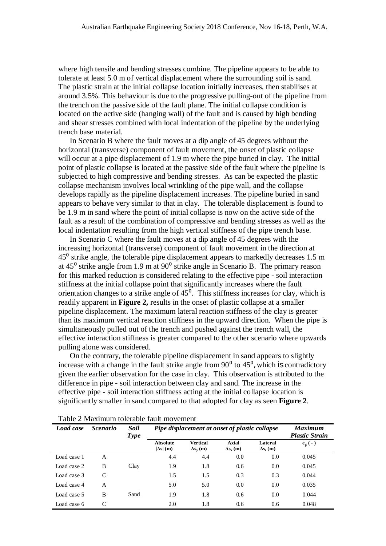where high tensile and bending stresses combine. The pipeline appears to be able to tolerate at least 5.0 m of vertical displacement where the surrounding soil is sand. The plastic strain at the initial collapse location initially increases, then stabilises at around 3.5%. This behaviour is due to the progressive pulling-out of the pipeline from the trench on the passive side of the fault plane. The initial collapse condition is located on the active side (hanging wall) of the fault and is caused by high bending and shear stresses combined with local indentation of the pipeline by the underlying trench base material.

In Scenario B where the fault moves at a dip angle of 45 degrees without the horizontal (transverse) component of fault movement, the onset of plastic collapse will occur at a pipe displacement of 1.9 m where the pipe buried in clay. The initial point of plastic collapse is located at the passive side of the fault where the pipeline is subjected to high compressive and bending stresses. As can be expected the plastic collapse mechanism involves local wrinkling of the pipe wall, and the collapse develops rapidly as the pipeline displacement increases. The pipeline buried in sand appears to behave very similar to that in clay. The tolerable displacement is found to be 1.9 m in sand where the point of initial collapse is now on the active side of the fault as a result of the combination of compressive and bending stresses as well as the local indentation resulting from the high vertical stiffness of the pipe trench base.

In Scenario C where the fault moves at a dip angle of 45 degrees with the increasing horizontal (transverse) component of fault movement in the direction at  $45<sup>°</sup>$  strike angle, the tolerable pipe displacement appears to markedly decreases 1.5 m at  $45^{\circ}$  strike angle from 1.9 m at  $90^{\circ}$  strike angle in Scenario B. The primary reason for this marked reduction is considered relating to the effective pipe - soil interaction stiffness at the initial collapse point that significantly increases where the fault orientation changes to a strike angle of  $45^\circ$ . This stiffness increases for clay, which is readily apparent in **Figure 2,** results in the onset of plastic collapse at a smaller pipeline displacement. The maximum lateral reaction stiffness of the clay is greater than its maximum vertical reaction stiffness in the upward direction. When the pipe is simultaneously pulled out of the trench and pushed against the trench wall, the effective interaction stiffness is greater compared to the other scenario where upwards pulling alone was considered.

On the contrary, the tolerable pipeline displacement in sand appears to slightly increase with a change in the fault strike angle from  $90^{\circ}$  to  $45^{\circ}$ , which is contradictory given the earlier observation for the case in clay. This observation is attributed to the difference in pipe - soil interaction between clay and sand. The increase in the effective pipe - soil interaction stiffness acting at the initial collapse location is significantly smaller in sand compared to that adopted for clay as seen **Figure 2**.

| <b>Load case</b> | <i>Scenario</i> | <b>Soil</b><br><b>Type</b> | <b>Pipe displacement at onset of plastic collapse</b> |                                    |                                 |                            | <b>Maximum</b><br><b>Plastic Strain</b> |
|------------------|-----------------|----------------------------|-------------------------------------------------------|------------------------------------|---------------------------------|----------------------------|-----------------------------------------|
|                  |                 |                            | <b>Absolute</b><br>$ \Delta s $ (m)                   | <b>Vertical</b><br>$\Delta s_v(m)$ | <b>Axial</b><br>$\Delta s_x(m)$ | Lateral<br>$\Delta s_z(m)$ | $\mathbf{e}_{\mathbf{p}}(-)$            |
| Load case 1      | A               |                            | 4.4                                                   | 4.4                                | 0.0                             | 0.0                        | 0.045                                   |
| Load case 2      | B               | Clay                       | 1.9                                                   | 1.8                                | 0.6                             | 0.0                        | 0.045                                   |
| Load case 3      | C               |                            | 1.5                                                   | 1.5                                | 0.3                             | 0.3                        | 0.044                                   |
| Load case 4      | A               |                            | 5.0                                                   | 5.0                                | 0.0                             | 0.0                        | 0.035                                   |
| Load case 5      | B               | Sand                       | 1.9                                                   | 1.8                                | 0.6                             | 0.0                        | 0.044                                   |
| Load case 6      | $\mathsf{C}$    |                            | 2.0                                                   | 1.8                                | 0.6                             | 0.6                        | 0.048                                   |

Table 2 Maximum tolerable fault movement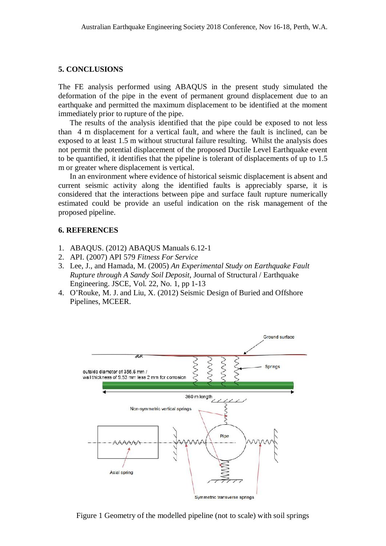#### **5. CONCLUSIONS**

The FE analysis performed using ABAQUS in the present study simulated the deformation of the pipe in the event of permanent ground displacement due to an earthquake and permitted the maximum displacement to be identified at the moment immediately prior to rupture of the pipe.

The results of the analysis identified that the pipe could be exposed to not less than 4 m displacement for a vertical fault, and where the fault is inclined, can be exposed to at least 1.5 m without structural failure resulting. Whilst the analysis does not permit the potential displacement of the proposed Ductile Level Earthquake event to be quantified, it identifies that the pipeline is tolerant of displacements of up to 1.5 m or greater where displacement is vertical.

In an environment where evidence of historical seismic displacement is absent and current seismic activity along the identified faults is appreciably sparse, it is considered that the interactions between pipe and surface fault rupture numerically estimated could be provide an useful indication on the risk management of the proposed pipeline.

#### **6. REFERENCES**

- 1. ABAQUS. (2012) ABAQUS Manuals 6.12-1
- 2. API. (2007) API 579 *Fitness For Service*
- 3. Lee, J., and Hamada, M. (2005) *An Experimental Study on Earthquake Fault Rupture through A Sandy Soil Deposit*, Journal of Structural / Earthquake Engineering. JSCE, Vol. 22, No. 1, pp 1-13
- 4. O'Rouke, M. J. and Liu, X. (2012) Seismic Design of Buried and Offshore Pipelines, MCEER.



Figure 1 Geometry of the modelled pipeline (not to scale) with soil springs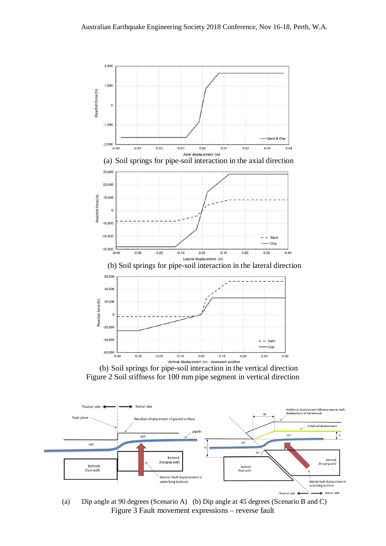

(b) Soil springs for pipe-soil interaction in the vertical direction Figure 2 Soil stiffness for 100 mm pipe segment in vertical direction



(a) Dip angle at 90 degrees (Scenario A) (b) Dip angle at 45 degrees (Scenario B and C) Figure 3 Fault movement expressions – reverse fault